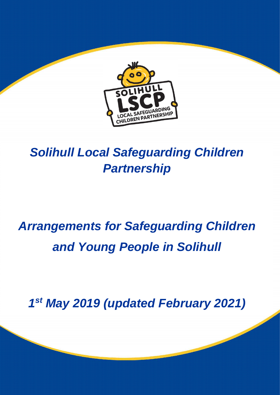

## *Solihull Local Safeguarding Children Partnership*

# *Arrangements for Safeguarding Children and Young People in Solihull*

*1 st May 2019 (updated February 2021)*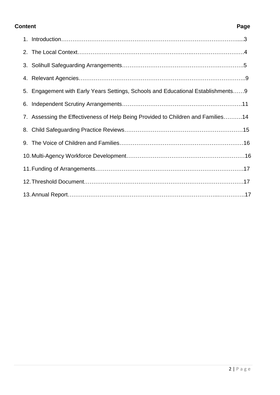#### **Content Page**

| 5. Engagement with Early Years Settings, Schools and Educational Establishments9 |  |
|----------------------------------------------------------------------------------|--|
|                                                                                  |  |
| 7. Assessing the Effectiveness of Help Being Provided to Children and Families14 |  |
|                                                                                  |  |
|                                                                                  |  |
|                                                                                  |  |
|                                                                                  |  |
|                                                                                  |  |
|                                                                                  |  |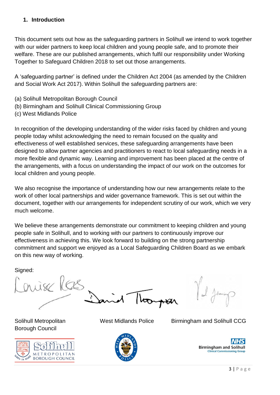#### **1. Introduction**

This document sets out how as the safeguarding partners in Solihull we intend to work together with our wider partners to keep local children and young people safe, and to promote their welfare. These are our published arrangements, which fulfil our responsibility under Working Together to Safeguard Children 2018 to set out those arrangements.

A 'safeguarding partner' is defined under the Children Act 2004 (as amended by the Children and Social Work Act 2017). Within Solihull the safeguarding partners are:

- (a) Solihull Metropolitan Borough Council
- (b) Birmingham and Solihull Clinical Commissioning Group
- (c) West Midlands Police

In recognition of the developing understanding of the wider risks faced by children and young people today whilst acknowledging the need to remain focused on the quality and effectiveness of well established services, these safeguarding arrangements have been designed to allow partner agencies and practitioners to react to local safeguarding needs in a more flexible and dynamic way. Learning and improvement has been placed at the centre of the arrangements, with a focus on understanding the impact of our work on the outcomes for local children and young people.

We also recognise the importance of understanding how our new arrangements relate to the work of other local partnerships and wider governance framework. This is set out within the document, together with our arrangements for independent scrutiny of our work, which we very much welcome.

We believe these arrangements demonstrate our commitment to keeping children and young people safe in Solihull, and to working with our partners to continuously improve our effectiveness in achieving this. We look forward to building on the strong partnership commitment and support we enjoyed as a Local Safeguarding Children Board as we embark on this new way of working.

Signed:

nijse Kas

Borough Council



Solihull Metropolitan West Midlands Police Birmingham and Solihull CCG



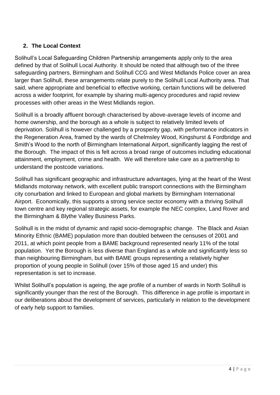#### **2. The Local Context**

Solihull's Local Safeguarding Children Partnership arrangements apply only to the area defined by that of Solihull Local Authority. It should be noted that although two of the three safeguarding partners, Birmingham and Solihull CCG and West Midlands Police cover an area larger than Solihull, these arrangements relate purely to the Solihull Local Authority area. That said, where appropriate and beneficial to effective working, certain functions will be delivered across a wider footprint, for example by sharing multi-agency procedures and rapid review processes with other areas in the West Midlands region.

Solihull is a broadly affluent borough characterised by above-average levels of income and home ownership, and the borough as a whole is subject to relatively limited levels of deprivation. Solihull is however challenged by a prosperity gap, with performance indicators in the Regeneration Area, framed by the wards of Chelmsley Wood, Kingshurst & Fordbridge and Smith's Wood to the north of Birmingham International Airport, significantly lagging the rest of the Borough. The impact of this is felt across a broad range of outcomes including educational attainment, employment, crime and health. We will therefore take care as a partnership to understand the postcode variations.

Solihull has significant geographic and infrastructure advantages, lying at the heart of the West Midlands motorway network, with excellent public transport connections with the Birmingham city conurbation and linked to European and global markets by Birmingham International Airport. Economically, this supports a strong service sector economy with a thriving Solihull town centre and key regional strategic assets, for example the NEC complex, Land Rover and the Birmingham & Blythe Valley Business Parks.

Solihull is in the midst of dynamic and rapid socio-demographic change. The Black and Asian Minority Ethnic (BAME) population more than doubled between the censuses of 2001 and 2011, at which point people from a BAME background represented nearly 11% of the total population. Yet the Borough is less diverse than England as a whole and significantly less so than neighbouring Birmingham, but with BAME groups representing a relatively higher proportion of young people in Solihull (over 15% of those aged 15 and under) this representation is set to increase.

Whilst Solihull's population is ageing, the age profile of a number of wards in North Solihull is significantly younger than the rest of the Borough. This difference in age profile is important in our deliberations about the development of services, particularly in relation to the development of early help support to families.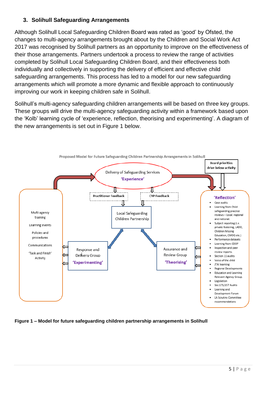#### **3. Solihull Safeguarding Arrangements**

Although Solihull Local Safeguarding Children Board was rated as 'good' by Ofsted, the changes to multi-agency arrangements brought about by the Children and Social Work Act 2017 was recognised by Solihull partners as an opportunity to improve on the effectiveness of their those arrangements. Partners undertook a process to review the range of activities completed by Solihull Local Safeguarding Children Board, and their effectiveness both individually and collectively in supporting the delivery of efficient and effective child safeguarding arrangements. This process has led to a model for our new safeguarding arrangements which will promote a more dynamic and flexible approach to continuously improving our work in keeping children safe in Solihull.

Solihull's multi-agency safeguarding children arrangements will be based on three key groups. These groups will drive the multi-agency safeguarding activity within a framework based upon the 'Kolb' learning cycle of 'experience, reflection, theorising and experimenting'. A diagram of the new arrangements is set out in Figure 1 below.



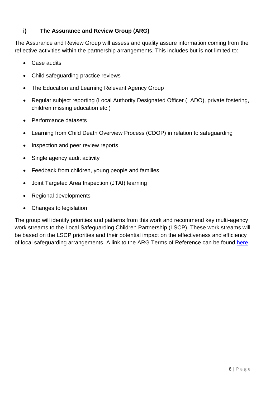#### **i) The Assurance and Review Group (ARG)**

The Assurance and Review Group will assess and quality assure information coming from the reflective activities within the partnership arrangements. This includes but is not limited to:

- Case audits
- Child safeguarding practice reviews
- The Education and Learning Relevant Agency Group
- Regular subject reporting (Local Authority Designated Officer (LADO), private fostering, children missing education etc.)
- Performance datasets
- Learning from Child Death Overview Process (CDOP) in relation to safeguarding
- Inspection and peer review reports
- Single agency audit activity
- Feedback from children, young people and families
- Joint Targeted Area Inspection (JTAI) learning
- Regional developments
- Changes to legislation

The group will identify priorities and patterns from this work and recommend key multi-agency work streams to the Local Safeguarding Children Partnership (LSCP). These work streams will be based on the LSCP priorities and their potential impact on the effectiveness and efficiency of local safeguarding arrangements. A link to the ARG Terms of Reference can be found [here.](https://www.safeguardingsolihull.org.uk/lscp/wp-content/uploads/sites/3/2021/12/Assurance-Review-Group-Terms-of-Reference-V3.pdf)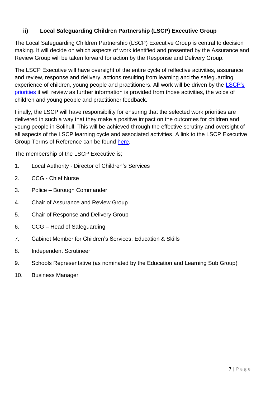### **ii) Local Safeguarding Children Partnership (LSCP) Executive Group**

The Local Safeguarding Children Partnership (LSCP) Executive Group is central to decision making. It will decide on which aspects of work identified and presented by the Assurance and Review Group will be taken forward for action by the Response and Delivery Group.

The LSCP Executive will have oversight of the entire cycle of reflective activities, assurance and review, response and delivery, actions resulting from learning and the safeguarding experience of children, young people and practitioners. All work will be driven by the LSCP's [priorities](https://www.safeguardingsolihull.org.uk/lscp/about-the-local-safeguarding-children-partnership/what-is-the-local-safeguarding-children-partnership/) it will review as further information is provided from those activities, the voice of children and young people and practitioner feedback.

Finally, the LSCP will have responsibility for ensuring that the selected work priorities are delivered in such a way that they make a positive impact on the outcomes for children and young people in Solihull. This will be achieved through the effective scrutiny and oversight of all aspects of the LSCP learning cycle and associated activities. A link to the LSCP Executive Group Terms of Reference can be found [here.](https://www.safeguardingsolihull.org.uk/lscp/wp-content/uploads/sites/3/2021/12/4b.-LSCP-Executive-Terms-of-Reference-updated-February-2021.pdf)

The membership of the LSCP Executive is;

- 1. Local Authority Director of Children's Services
- 2. CCG Chief Nurse
- 3. Police Borough Commander
- 4. Chair of Assurance and Review Group
- 5. Chair of Response and Delivery Group
- 6. CCG Head of Safeguarding
- 7. Cabinet Member for Children's Services, Education & Skills
- 8. Independent Scrutineer
- 9. Schools Representative (as nominated by the Education and Learning Sub Group)
- 10. Business Manager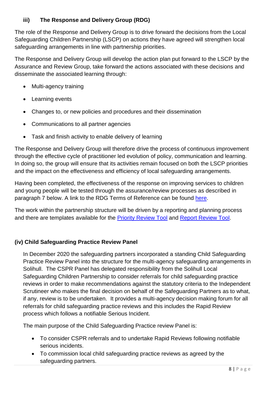#### **iii) The Response and Delivery Group (RDG)**

The role of the Response and Delivery Group is to drive forward the decisions from the Local Safeguarding Children Partnership (LSCP) on actions they have agreed will strengthen local safeguarding arrangements in line with partnership priorities.

The Response and Delivery Group will develop the action plan put forward to the LSCP by the Assurance and Review Group, take forward the actions associated with these decisions and disseminate the associated learning through:

- Multi-agency training
- Learning events
- Changes to, or new policies and procedures and their dissemination
- Communications to all partner agencies
- Task and finish activity to enable delivery of learning

The Response and Delivery Group will therefore drive the process of continuous improvement through the effective cycle of practitioner led evolution of policy, communication and learning. In doing so, the group will ensure that its activities remain focused on both the LSCP priorities and the impact on the effectiveness and efficiency of local safeguarding arrangements.

Having been completed, the effectiveness of the response on improving services to children and young people will be tested through the assurance/review processes as described in paragraph 7 below. A link to the RDG Terms of Reference can be found [here.](https://www.safeguardingsolihull.org.uk/lscp/wp-content/uploads/sites/3/2021/12/4.-Response-and-Delivery-Group-Terms-of-Reference.doc.pdf)

The work within the partnership structure will be driven by a reporting and planning process and there are templates available for the [Priority Review Tool](file://///solihull/corp/acpc/LSCP/Publications/Website%20Publications/New%20arrangements/Priority%20Review%20Tool.pdf) and [Report Review Tool.](file://///solihull/corp/acpc/LSCP/Publications/Website%20Publications/New%20arrangements/Report%20Review%20Tool.pdf)

#### **(iv) Child Safeguarding Practice Review Panel**

In December 2020 the safeguarding partners incorporated a standing Child Safeguarding Practice Review Panel into the structure for the multi-agency safeguarding arrangements in Solihull. The CSPR Panel has delegated responsibility from the Solihull Local Safeguarding Children Partnership to consider referrals for child safeguarding practice reviews in order to make recommendations against the statutory criteria to the Independent Scrutineer who makes the final decision on behalf of the Safeguarding Partners as to what, if any, review is to be undertaken. It provides a multi-agency decision making forum for all referrals for child safeguarding practice reviews and this includes the Rapid Review process which follows a notifiable Serious Incident.

The main purpose of the Child Safeguarding Practice review Panel is:

- To consider CSPR referrals and to undertake Rapid Reviews following notifiable serious incidents.
- To commission local child safeguarding practice reviews as agreed by the safeguarding partners.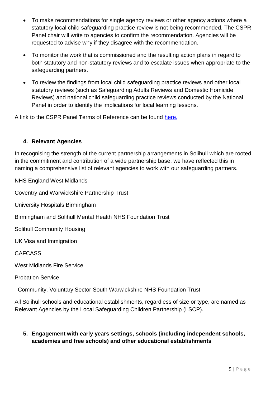- To make recommendations for single agency reviews or other agency actions where a statutory local child safeguarding practice review is not being recommended. The CSPR Panel chair will write to agencies to confirm the recommendation. Agencies will be requested to advise why if they disagree with the recommendation.
- To monitor the work that is commissioned and the resulting action plans in regard to both statutory and non-statutory reviews and to escalate issues when appropriate to the safeguarding partners.
- To review the findings from local child safeguarding practice reviews and other local statutory reviews (such as Safeguarding Adults Reviews and Domestic Homicide Reviews) and national child safeguarding practice reviews conducted by the National Panel in order to identify the implications for local learning lessons.

A link to the CSPR Panel Terms of Reference can be found [here.](https://www.safeguardingsolihull.org.uk/lscp/wp-content/uploads/sites/3/2021/12/TOR-CSPR-Group-3.pdf)

#### **4. Relevant Agencies**

In recognising the strength of the current partnership arrangements in Solihull which are rooted in the commitment and contribution of a wide partnership base, we have reflected this in naming a comprehensive list of relevant agencies to work with our safeguarding partners.

NHS England West Midlands

Coventry and Warwickshire Partnership Trust

University Hospitals Birmingham

Birmingham and Solihull Mental Health NHS Foundation Trust

Solihull Community Housing

UK Visa and Immigration

CAFCASS

West Midlands Fire Service

Probation Service

Community, Voluntary Sector South Warwickshire NHS Foundation Trust

All Solihull schools and educational establishments, regardless of size or type, are named as Relevant Agencies by the Local Safeguarding Children Partnership (LSCP).

#### **5. Engagement with early years settings, schools (including independent schools, academies and free schools) and other educational establishments**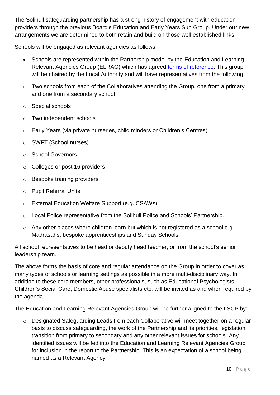The Solihull safeguarding partnership has a strong history of engagement with education providers through the previous Board's Education and Early Years Sub Group. Under our new arrangements we are determined to both retain and build on those well established links.

Schools will be engaged as relevant agencies as follows:

- Schools are represented within the Partnership model by the Education and Learning Relevant Agencies Group (ELRAG) which has agreed [terms of reference.](https://www.safeguardingsolihull.org.uk/lscp/wp-content/uploads/sites/3/2021/12/5.-Education-and-Learning-Relevant-Agencies-Group-Terms-of-Reference.pdf) This group will be chaired by the Local Authority and will have representatives from the following;
- o Two schools from each of the Collaboratives attending the Group, one from a primary and one from a secondary school
- o Special schools
- o Two independent schools
- o Early Years (via private nurseries, child minders or Children's Centres)
- o SWFT (School nurses)
- o School Governors
- o Colleges or post 16 providers
- o Bespoke training providers
- o Pupil Referral Units
- o External Education Welfare Support (e.g. CSAWs)
- o Local Police representative from the Solihull Police and Schools' Partnership.
- o Any other places where children learn but which is not registered as a school e.g. Madrasahs, bespoke apprenticeships and Sunday Schools.

All school representatives to be head or deputy head teacher, or from the school's senior leadership team.

The above forms the basis of core and regular attendance on the Group in order to cover as many types of schools or learning settings as possible in a more multi-disciplinary way. In addition to these core members, other professionals, such as Educational Psychologists, Children's Social Care, Domestic Abuse specialists etc. will be invited as and when required by the agenda.

The Education and Learning Relevant Agencies Group will be further aligned to the LSCP by:

o Designated Safeguarding Leads from each Collaborative will meet together on a regular basis to discuss safeguarding, the work of the Partnership and its priorities, legislation, transition from primary to secondary and any other relevant issues for schools. Any identified issues will be fed into the Education and Learning Relevant Agencies Group for inclusion in the report to the Partnership. This is an expectation of a school being named as a Relevant Agency.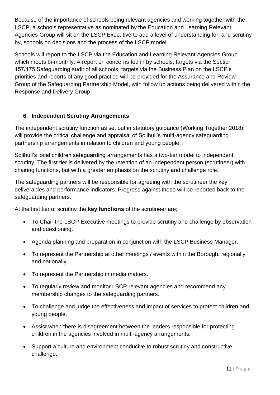Because of the importance of schools being relevant agencies and working together with the LSCP, a schools representative as nominated by the Education and Learning Relevant Agencies Group will sit on the LSCP Executive to add a level of understanding for, and scrutiny by, schools on decisions and the process of the LSCP model.

Schools will report to the LSCP via the Education and Learning Relevant Agencies Group which meets bi-monthly. A report on concerns fed in by schools, targets via the Section 157/175 Safeguarding audit of all schools, targets via the Business Plan on the LSCP's priorities and reports of any good practice will be provided for the Assurance and Review Group of the Safeguarding Partnership Model, with follow up actions being delivered within the Response and Delivery Group.

#### **6. Independent Scrutiny Arrangements**

The independent scrutiny function as set out in statutory guidance (Working Together 2018); will provide the critical challenge and appraisal of Solihull's multi-agency safeguarding partnership arrangements in relation to children and young people.

Solihull's local children safeguarding arrangements has a two-tier model to independent scrutiny. The first tier is delivered by the retention of an independent person (scrutineer) with chairing functions, but with a greater emphasis on the scrutiny and challenge role.

The safeguarding partners will be responsible for agreeing with the scrutineer the key deliverables and performance indicators. Progress against these will be reported back to the safeguarding partners.

At the first tier of scrutiny the **key functions** of the scrutineer are;

- To Chair the LSCP Executive meetings to provide scrutiny and challenge by observation and questioning.
- Agenda planning and preparation in conjunction with the LSCP Business Manager.
- To represent the Partnership at other meetings / events within the Borough, regionally and nationally.
- To represent the Partnership in media matters.
- To regularly review and monitor LSCP relevant agencies and recommend any membership changes to the safeguarding partners.
- To challenge and judge the effectiveness and impact of services to protect children and young people.
- Assist when there is disagreement between the leaders responsible for protecting children in the agencies involved in multi-agency arrangements.
- Support a culture and environment conducive to robust scrutiny and constructive challenge.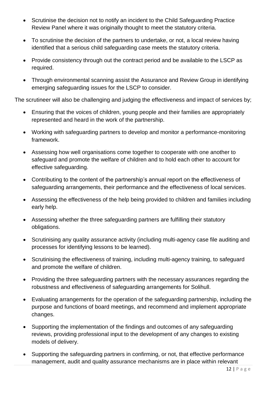- Scrutinise the decision not to notify an incident to the Child Safeguarding Practice Review Panel where it was originally thought to meet the statutory criteria.
- To scrutinise the decision of the partners to undertake, or not, a local review having identified that a serious child safeguarding case meets the statutory criteria.
- Provide consistency through out the contract period and be available to the LSCP as required.
- Through environmental scanning assist the Assurance and Review Group in identifying emerging safeguarding issues for the LSCP to consider.

The scrutineer will also be challenging and judging the effectiveness and impact of services by;

- Ensuring that the voices of children, young people and their families are appropriately represented and heard in the work of the partnership.
- Working with safeguarding partners to develop and monitor a performance-monitoring framework.
- Assessing how well organisations come together to cooperate with one another to safeguard and promote the welfare of children and to hold each other to account for effective safeguarding.
- Contributing to the content of the partnership's annual report on the effectiveness of safeguarding arrangements, their performance and the effectiveness of local services.
- Assessing the effectiveness of the help being provided to children and families including early help.
- Assessing whether the three safeguarding partners are fulfilling their statutory obligations.
- Scrutinising any quality assurance activity (including multi-agency case file auditing and processes for identifying lessons to be learned).
- Scrutinising the effectiveness of training, including multi-agency training, to safeguard and promote the welfare of children.
- Providing the three safeguarding partners with the necessary assurances regarding the robustness and effectiveness of safeguarding arrangements for Solihull.
- Evaluating arrangements for the operation of the safeguarding partnership, including the purpose and functions of board meetings, and recommend and implement appropriate changes.
- Supporting the implementation of the findings and outcomes of any safeguarding reviews, providing professional input to the development of any changes to existing models of delivery.
- Supporting the safeguarding partners in confirming, or not, that effective performance management, audit and quality assurance mechanisms are in place within relevant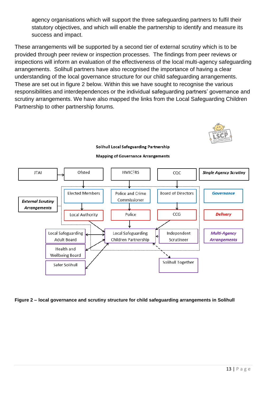agency organisations which will support the three safeguarding partners to fulfil their statutory objectives, and which will enable the partnership to identify and measure its success and impact.

These arrangements will be supported by a second tier of external scrutiny which is to be provided through peer review or inspection processes. The findings from peer reviews or inspections will inform an evaluation of the effectiveness of the local multi-agency safeguarding arrangements. Solihull partners have also recognised the importance of having a clear understanding of the local governance structure for our child safeguarding arrangements. These are set out in figure 2 below. Within this we have sought to recognise the various responsibilities and interdependences or the individual safeguarding partners' governance and scrutiny arrangements. We have also mapped the links from the Local Safeguarding Children Partnership to other partnership forums.



#### Ofsted **HMICFRS JTAI** coc **Single Agency Scrutiny Elected Members Board of Directors** Police and Crime **Governance** Commissioner **External Scrutiny** Arrangements  $CCG$ **Delivery Local Authority** Police Local Safeguarding **Local Safeguarding** Independent **Multi-Agency Adult Board** Children Partnership Scrutineer **Arrangements** Health and **Wellbeing Board** Solihull Together Safer Solihull

**Solihull Local Safeguarding Partnership Mapping of Governance Arrangements** 

**Figure 2 – local governance and scrutiny structure for child safeguarding arrangements in Solihull**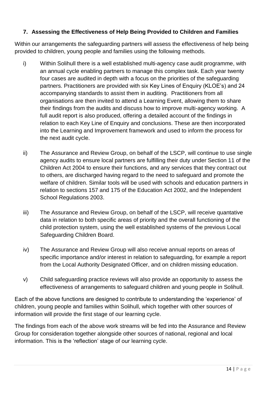#### **7. Assessing the Effectiveness of Help Being Provided to Children and Families**

Within our arrangements the safeguarding partners will assess the effectiveness of help being provided to children, young people and families using the following methods.

- i) Within Solihull there is a well established multi-agency case audit programme, with an annual cycle enabling partners to manage this complex task. Each year twenty four cases are audited in depth with a focus on the priorities of the safeguarding partners. Practitioners are provided with six Key Lines of Enquiry (KLOE's) and 24 accompanying standards to assist them in auditing. Practitioners from all organisations are then invited to attend a Learning Event, allowing them to share their findings from the audits and discuss how to improve multi-agency working. A full audit report is also produced, offering a detailed account of the findings in relation to each Key Line of Enquiry and conclusions. These are then incorporated into the Learning and Improvement framework and used to inform the process for the next audit cycle.
- ii) The Assurance and Review Group, on behalf of the LSCP, will continue to use single agency audits to ensure local partners are fulfilling their duty under Section 11 of the Children Act 2004 to ensure their functions, and any services that they contract out to others, are discharged having regard to the need to safeguard and promote the welfare of children. Similar tools will be used with schools and education partners in relation to sections 157 and 175 of the Education Act 2002, and the Independent School Regulations 2003.
- iii) The Assurance and Review Group, on behalf of the LSCP, will receive quantative data in relation to both specific areas of priority and the overall functioning of the child protection system, using the well established systems of the previous Local Safeguarding Children Board.
- iv) The Assurance and Review Group will also receive annual reports on areas of specific importance and/or interest in relation to safeguarding, for example a report from the Local Authority Designated Officer, and on children missing education.
- v) Child safeguarding practice reviews will also provide an opportunity to assess the effectiveness of arrangements to safeguard children and young people in Solihull.

Each of the above functions are designed to contribute to understanding the 'experience' of children, young people and families within Solihull, which together with other sources of information will provide the first stage of our learning cycle.

The findings from each of the above work streams will be fed into the Assurance and Review Group for consideration together alongside other sources of national, regional and local information. This is the 'reflection' stage of our learning cycle.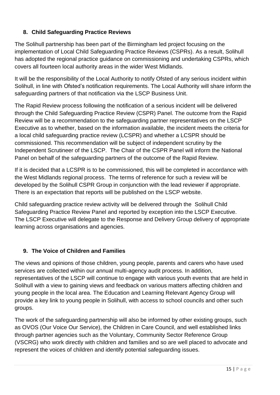#### **8. Child Safeguarding Practice Reviews**

The Solihull partnership has been part of the Birmingham led project focusing on the implementation of Local Child Safeguarding Practice Reviews (CSPRs). As a result, Solihull has adopted the regional practice guidance on commissioning and undertaking CSPRs, which covers all fourteen local authority areas in the wider West Midlands.

It will be the responsibility of the Local Authority to notify Ofsted of any serious incident within Solihull, in line with Ofsted's notification requirements. The Local Authority will share inform the safeguarding partners of that notification via the LSCP Business Unit.

The Rapid Review process following the notification of a serious incident will be delivered through the Child Safeguarding Practice Review (CSPR) Panel. The outcome from the Rapid Review will be a recommendation to the safeguarding partner representatives on the LSCP Executive as to whether, based on the information available, the incident meets the criteria for a local child safeguarding practice review (LCSPR) and whether a LCSPR should be commissioned. This recommendation will be subject of independent scrutiny by the Independent Scrutineer of the LSCP. The Chair of the CSPR Panel will inform the National Panel on behalf of the safeguarding partners of the outcome of the Rapid Review.

If it is decided that a LCSPR is to be commissioned, this will be completed in accordance with the West Midlands regional process. The terms of reference for such a review will be developed by the Solihull CSPR Group in conjunction with the lead reviewer if appropriate. There is an expectation that reports will be published on the LSCP website.

Child safeguarding practice review activity will be delivered through the Solihull Child Safeguarding Practice Review Panel and reported by exception into the LSCP Executive. The LSCP Executive will delegate to the Response and Delivery Group delivery of appropriate learning across organisations and agencies.

### **9. The Voice of Children and Families**

The views and opinions of those children, young people, parents and carers who have used services are collected within our annual multi-agency audit process. In addition, representatives of the LSCP will continue to engage with various youth events that are held in Solihull with a view to gaining views and feedback on various matters affecting children and young people in the local area. The Education and Learning Relevant Agency Group will provide a key link to young people in Solihull, with access to school councils and other such groups.

The work of the safeguarding partnership will also be informed by other existing groups, such as OVOS (Our Voice Our Service), the Children in Care Council, and well established links through partner agencies such as the Voluntary, Community Sector Reference Group (VSCRG) who work directly with children and families and so are well placed to advocate and represent the voices of children and identify potential safeguarding issues.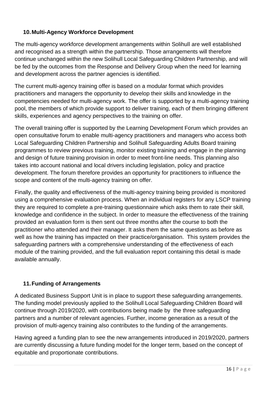#### **10.Multi-Agency Workforce Development**

The multi-agency workforce development arrangements within Solihull are well established and recognised as a strength within the partnership. Those arrangements will therefore continue unchanged within the new Solihull Local Safeguarding Children Partnership, and will be fed by the outcomes from the Response and Delivery Group when the need for learning and development across the partner agencies is identified.

The current multi-agency training offer is based on a modular format which provides practitioners and managers the opportunity to develop their skills and knowledge in the competencies needed for multi-agency work. The offer is supported by a multi-agency training pool, the members of which provide support to deliver training, each of them bringing different skills, experiences and agency perspectives to the training on offer.

The overall training offer is supported by the Learning Development Forum which provides an open consultative forum to enable multi-agency practitioners and managers who access both Local Safeguarding Children Partnership and Solihull Safeguarding Adults Board training programmes to review previous training, monitor existing training and engage in the planning and design of future training provision in order to meet front-line needs. This planning also takes into account national and local drivers including legislation, policy and practice development. The forum therefore provides an opportunity for practitioners to influence the scope and content of the multi-agency training on offer.

Finally, the quality and effectiveness of the multi-agency training being provided is monitored using a comprehensive evaluation process. When an individual registers for any LSCP training they are required to complete a pre-training questionnaire which asks them to rate their skill, knowledge and confidence in the subject. In order to measure the effectiveness of the training provided an evaluation form is then sent out three months after the course to both the practitioner who attended and their manager. It asks them the same questions as before as well as how the training has impacted on their practice/organisation. This system provides the safeguarding partners with a comprehensive understanding of the effectiveness of each module of the training provided, and the full evaluation report containing this detail is made available annually.

#### **11.Funding of Arrangements**

A dedicated Business Support Unit is in place to support these safeguarding arrangements. The funding model previously applied to the Solihull Local Safeguarding Children Board will continue through 2019/2020, with contributions being made by the three safeguarding partners and a number of relevant agencies. Further, income generation as a result of the provision of multi-agency training also contributes to the funding of the arrangements.

Having agreed a funding plan to see the new arrangements introduced in 2019/2020, partners are currently discussing a future funding model for the longer term, based on the concept of equitable and proportionate contributions.